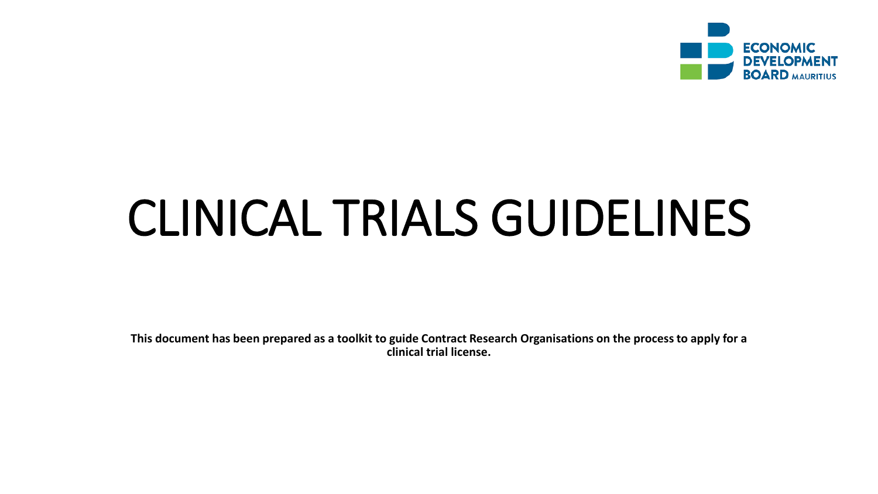

# CLINICAL TRIALS GUIDELINES

**This document has been prepared as a toolkit to guide Contract Research Organisations on the process to apply for a clinical trial license.**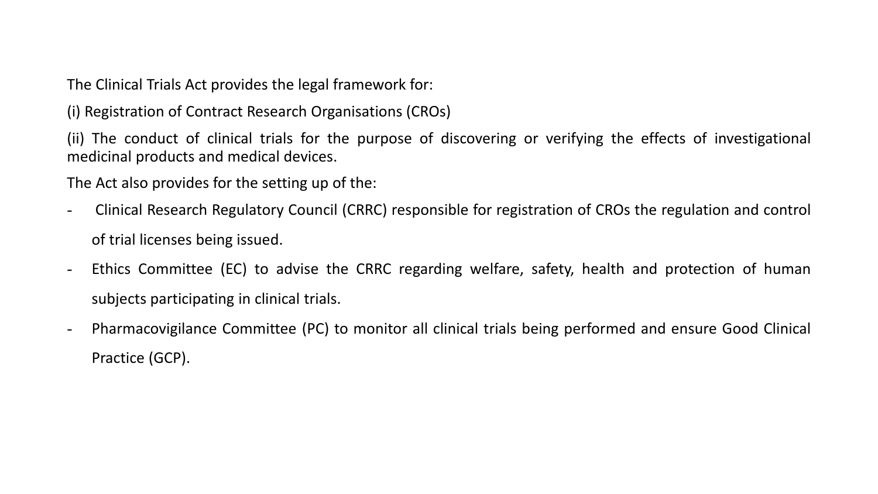The Clinical Trials Act provides the legal framework for:

(i) Registration of Contract Research Organisations (CROs)

(ii) The conduct of clinical trials for the purpose of discovering or verifying the effects of investigational medicinal products and medical devices.

The Act also provides for the setting up of the:

- Clinical Research Regulatory Council (CRRC) responsible for registration of CROs the regulation and control of trial licenses being issued.
- Ethics Committee (EC) to advise the CRRC regarding welfare, safety, health and protection of human subjects participating in clinical trials.
- Pharmacovigilance Committee (PC) to monitor all clinical trials being performed and ensure Good Clinical Practice (GCP).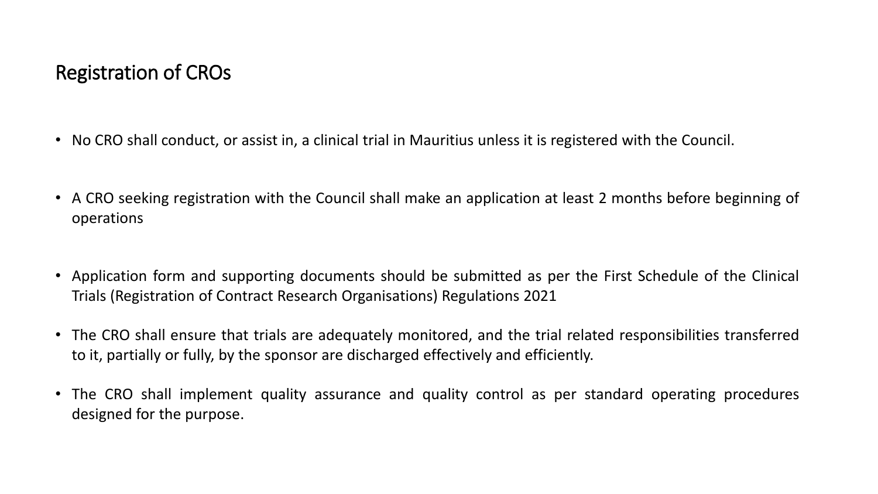# Registration of CROs

- No CRO shall conduct, or assist in, a clinical trial in Mauritius unless it is registered with the Council.
- A CRO seeking registration with the Council shall make an application at least 2 months before beginning of operations
- Application form and supporting documents should be submitted as per the First Schedule of the Clinical Trials (Registration of Contract Research Organisations) Regulations 2021
- The CRO shall ensure that trials are adequately monitored, and the trial related responsibilities transferred to it, partially or fully, by the sponsor are discharged effectively and efficiently.
- The CRO shall implement quality assurance and quality control as per standard operating procedures designed for the purpose.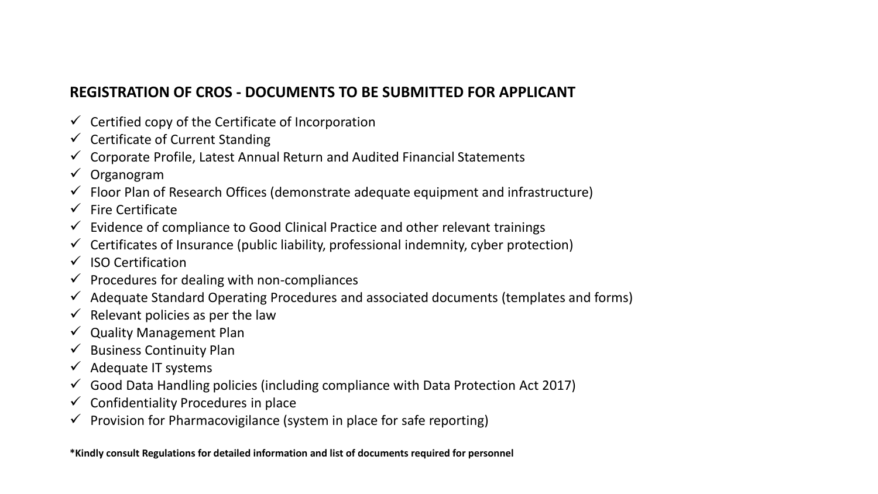#### **REGISTRATION OF CROS - DOCUMENTS TO BE SUBMITTED FOR APPLICANT**

- $\checkmark$  Certified copy of the Certificate of Incorporation
- $\checkmark$  Certificate of Current Standing
- ✓ Corporate Profile, Latest Annual Return and Audited Financial Statements
- ✓ Organogram
- $\checkmark$  Floor Plan of Research Offices (demonstrate adequate equipment and infrastructure)
- $\checkmark$  Fire Certificate
- Evidence of compliance to Good Clinical Practice and other relevant trainings
- Certificates of Insurance (public liability, professional indemnity, cyber protection)
- ✓ ISO Certification
- $\checkmark$  Procedures for dealing with non-compliances
- Adequate Standard Operating Procedures and associated documents (templates and forms)
- $\checkmark$  Relevant policies as per the law
- **Quality Management Plan**
- **Business Continuity Plan**
- $\checkmark$  Adequate IT systems
- Good Data Handling policies (including compliance with Data Protection Act 2017)
- ✓ Confidentiality Procedures in place
- Provision for Pharmacovigilance (system in place for safe reporting)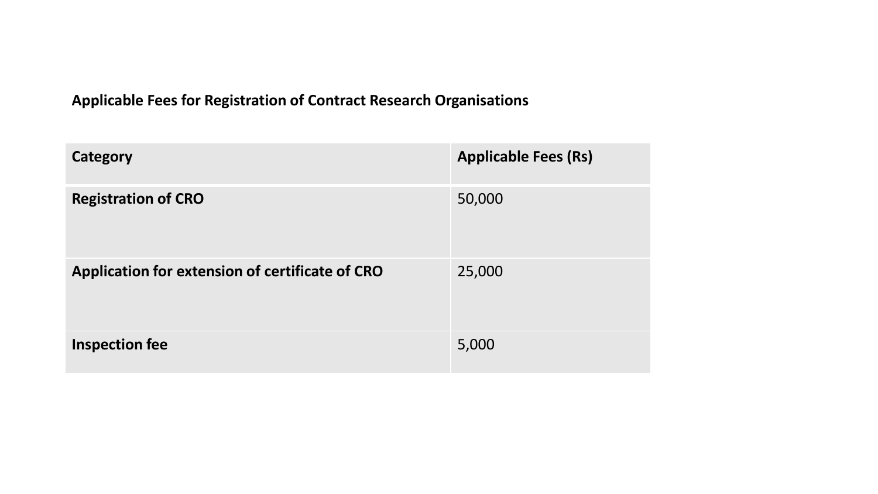#### **Applicable Fees for Registration of Contract Research Organisations**

| Category                                        | <b>Applicable Fees (Rs)</b> |
|-------------------------------------------------|-----------------------------|
| <b>Registration of CRO</b>                      | 50,000                      |
| Application for extension of certificate of CRO | 25,000                      |
| Inspection fee                                  | 5,000                       |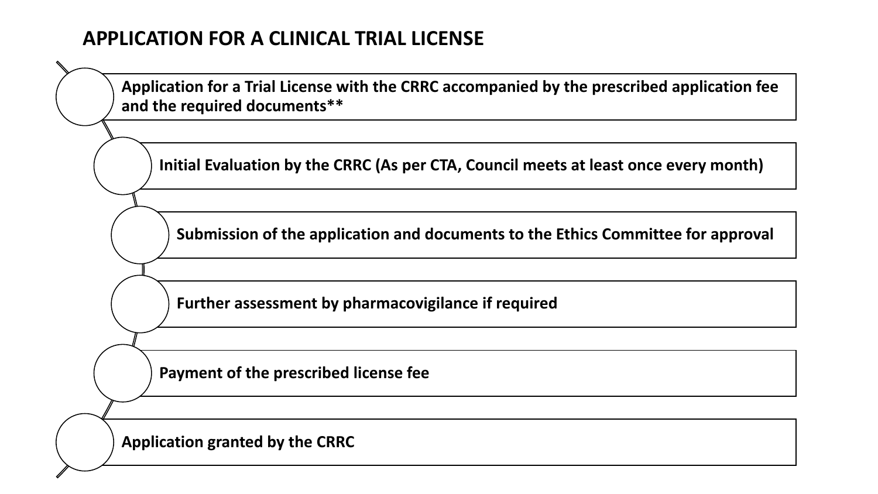## **APPLICATION FOR A CLINICAL TRIAL LICENSE**

**Application for a Trial License with the CRRC accompanied by the prescribed application fee and the required documents\*\***

**Initial Evaluation by the CRRC (As per CTA, Council meets at least once every month)**

**Submission of the application and documents to the Ethics Committee for approval**

**Further assessment by pharmacovigilance if required** 

**Payment of the prescribed license fee**

**Application granted by the CRRC**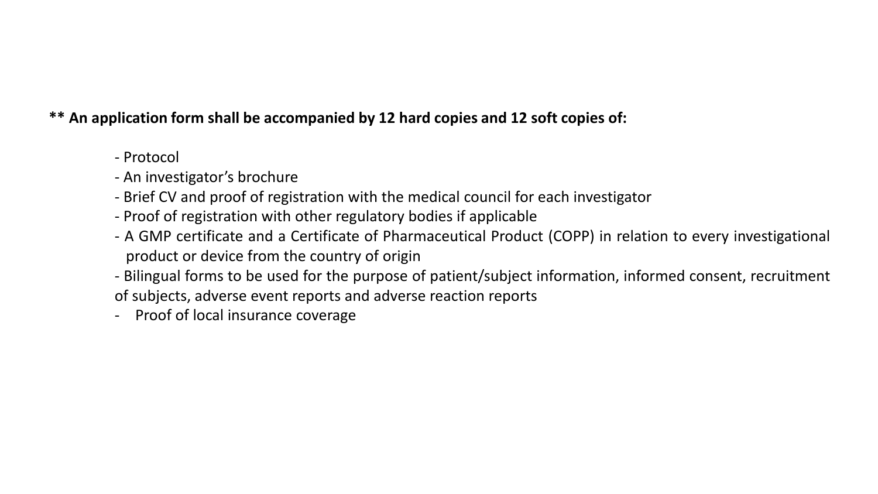#### **\*\* An application form shall be accompanied by 12 hard copies and 12 soft copies of:**

- Protocol
- An investigator's brochure
- Brief CV and proof of registration with the medical council for each investigator
- Proof of registration with other regulatory bodies if applicable
- A GMP certificate and a Certificate of Pharmaceutical Product (COPP) in relation to every investigational product or device from the country of origin
- Bilingual forms to be used for the purpose of patient/subject information, informed consent, recruitment of subjects, adverse event reports and adverse reaction reports
- Proof of local insurance coverage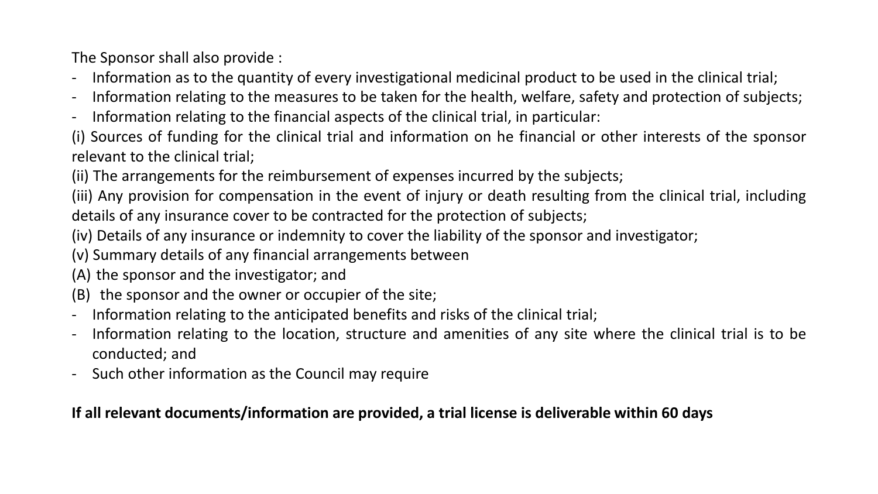The Sponsor shall also provide :

- Information as to the quantity of every investigational medicinal product to be used in the clinical trial;
- Information relating to the measures to be taken for the health, welfare, safety and protection of subjects;
- Information relating to the financial aspects of the clinical trial, in particular:
- (i) Sources of funding for the clinical trial and information on he financial or other interests of the sponsor relevant to the clinical trial;
- (ii) The arrangements for the reimbursement of expenses incurred by the subjects;

(iii) Any provision for compensation in the event of injury or death resulting from the clinical trial, including details of any insurance cover to be contracted for the protection of subjects;

(iv) Details of any insurance or indemnity to cover the liability of the sponsor and investigator;

(v) Summary details of any financial arrangements between

- (A) the sponsor and the investigator; and
- (B) the sponsor and the owner or occupier of the site;
- Information relating to the anticipated benefits and risks of the clinical trial;
- Information relating to the location, structure and amenities of any site where the clinical trial is to be conducted; and
- Such other information as the Council may require

#### **If all relevant documents/information are provided, a trial license is deliverable within 60 days**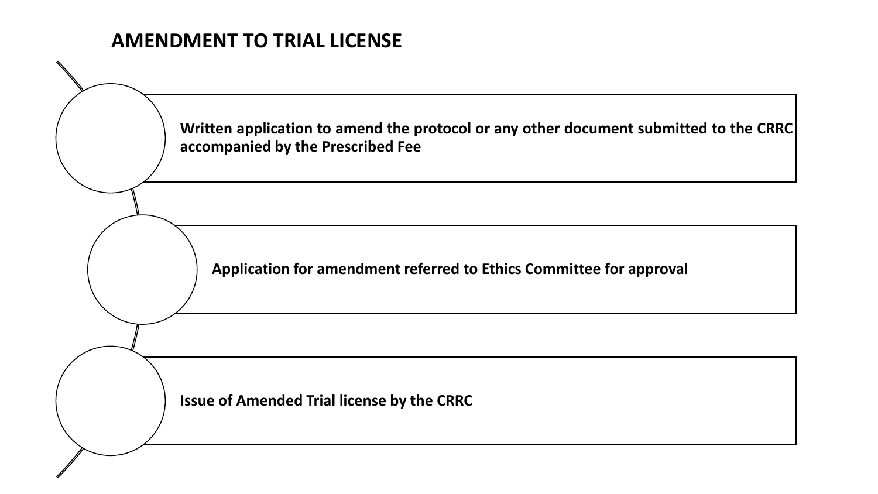# **AMENDMENT TO TRIAL LICENSE**

**Written application to amend the protocol or any other document submitted to the CRRC accompanied by the Prescribed Fee**

**Application for amendment referred to Ethics Committee for approval**

**Issue of Amended Trial license by the CRRC**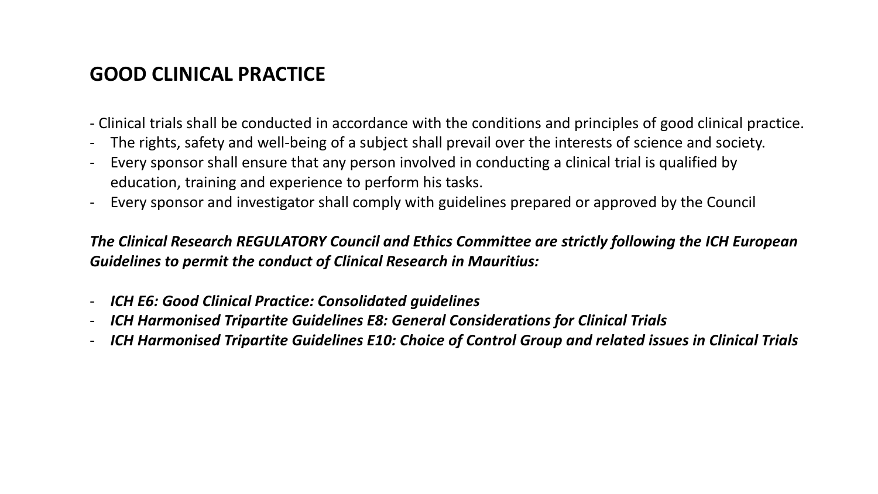# **GOOD CLINICAL PRACTICE**

- Clinical trials shall be conducted in accordance with the conditions and principles of good clinical practice.
- The rights, safety and well-being of a subject shall prevail over the interests of science and society.
- Every sponsor shall ensure that any person involved in conducting a clinical trial is qualified by education, training and experience to perform his tasks.
- Every sponsor and investigator shall comply with guidelines prepared or approved by the Council

*The Clinical Research REGULATORY Council and Ethics Committee are strictly following the ICH European Guidelines to permit the conduct of Clinical Research in Mauritius:*

- *ICH E6: Good Clinical Practice: Consolidated guidelines*
- *ICH Harmonised Tripartite Guidelines E8: General Considerations for Clinical Trials*
- *ICH Harmonised Tripartite Guidelines E10: Choice of Control Group and related issues in Clinical Trials*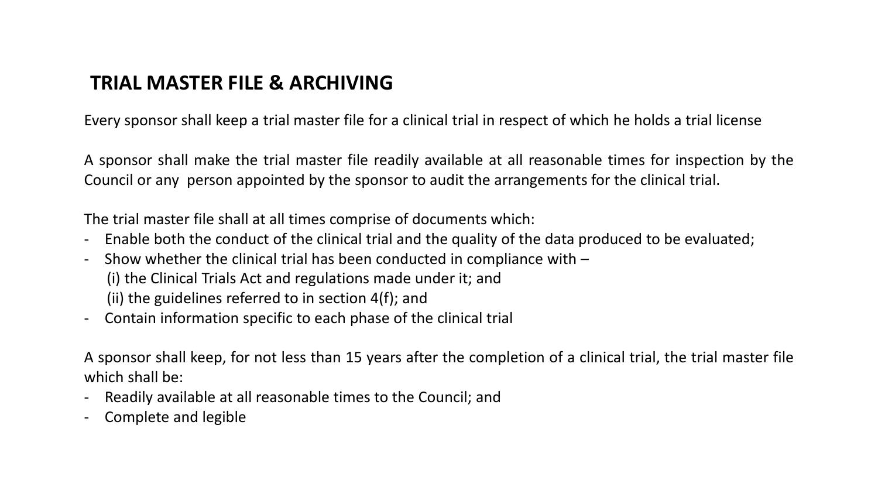## **TRIAL MASTER FILE & ARCHIVING**

Every sponsor shall keep a trial master file for a clinical trial in respect of which he holds a trial license

A sponsor shall make the trial master file readily available at all reasonable times for inspection by the Council or any person appointed by the sponsor to audit the arrangements for the clinical trial.

The trial master file shall at all times comprise of documents which:

- Enable both the conduct of the clinical trial and the quality of the data produced to be evaluated;
- Show whether the clinical trial has been conducted in compliance with  $-$ 
	- (i) the Clinical Trials Act and regulations made under it; and
	- (ii) the guidelines referred to in section 4(f); and
- Contain information specific to each phase of the clinical trial

A sponsor shall keep, for not less than 15 years after the completion of a clinical trial, the trial master file which shall be:

- Readily available at all reasonable times to the Council; and
- Complete and legible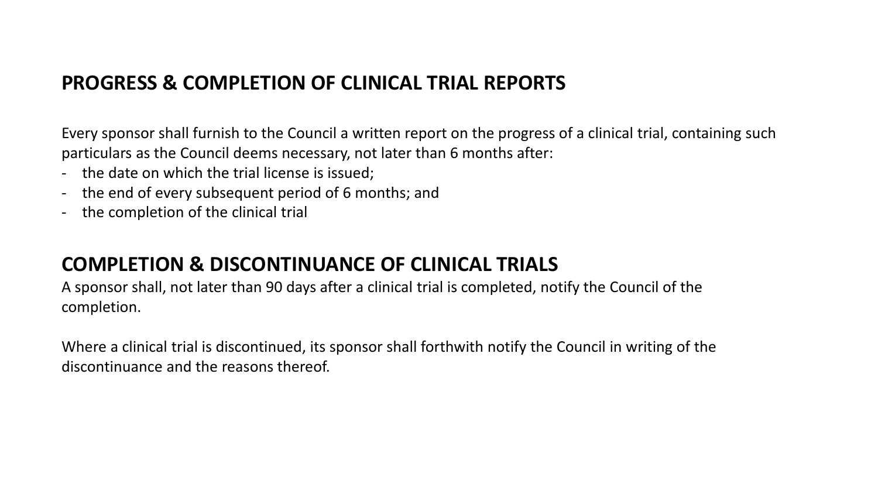### **PROGRESS & COMPLETION OF CLINICAL TRIAL REPORTS**

Every sponsor shall furnish to the Council a written report on the progress of a clinical trial, containing such particulars as the Council deems necessary, not later than 6 months after:

- the date on which the trial license is issued;
- the end of every subsequent period of 6 months; and
- the completion of the clinical trial

## **COMPLETION & DISCONTINUANCE OF CLINICAL TRIALS**

A sponsor shall, not later than 90 days after a clinical trial is completed, notify the Council of the completion.

Where a clinical trial is discontinued, its sponsor shall forthwith notify the Council in writing of the discontinuance and the reasons thereof.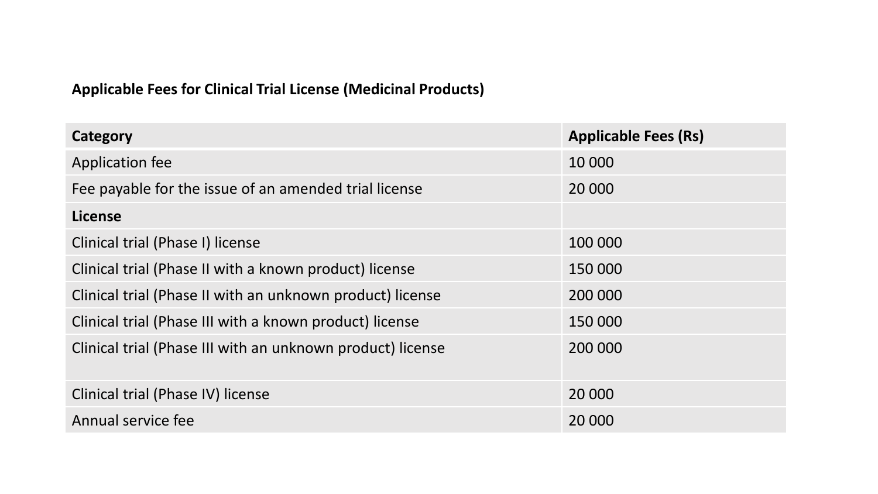#### **Applicable Fees for Clinical Trial License (Medicinal Products)**

| Category                                                   | <b>Applicable Fees (Rs)</b> |
|------------------------------------------------------------|-----------------------------|
| Application fee                                            | 10 000                      |
| Fee payable for the issue of an amended trial license      | 20 000                      |
| License                                                    |                             |
| Clinical trial (Phase I) license                           | 100 000                     |
| Clinical trial (Phase II with a known product) license     | 150 000                     |
| Clinical trial (Phase II with an unknown product) license  | 200 000                     |
| Clinical trial (Phase III with a known product) license    | 150 000                     |
| Clinical trial (Phase III with an unknown product) license | 200 000                     |
| Clinical trial (Phase IV) license                          | 20 000                      |
| Annual service fee                                         | 20 000                      |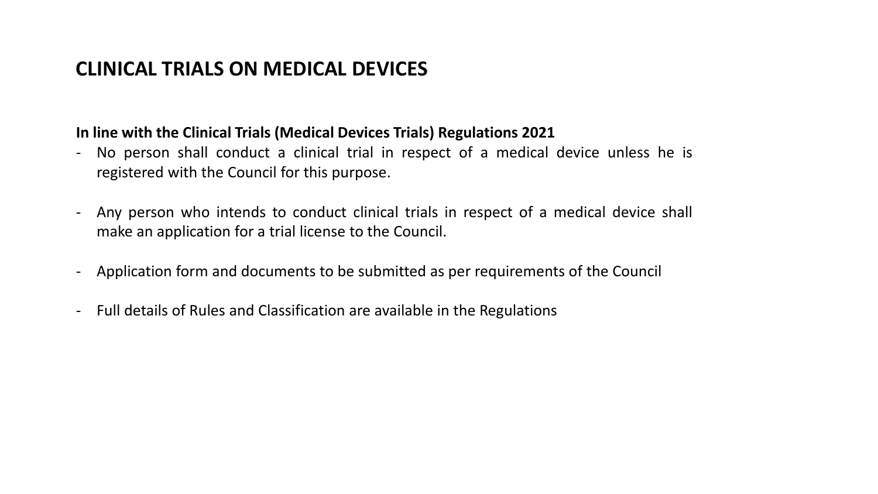# **CLINICAL TRIALS ON MEDICAL DEVICES**

#### **In line with the Clinical Trials (Medical Devices Trials) Regulations 2021**

- No person shall conduct a clinical trial in respect of a medical device unless he is registered with the Council for this purpose.
- Any person who intends to conduct clinical trials in respect of a medical device shall make an application for a trial license to the Council.
- Application form and documents to be submitted as per requirements of the Council
- Full details of Rules and Classification are available in the Regulations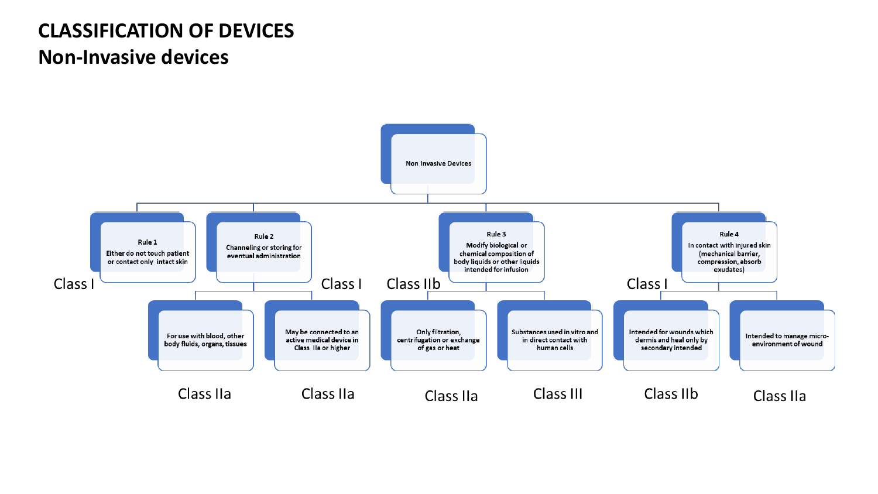# **CLASSIFICATION OF DEVICES Non-Invasive devices**

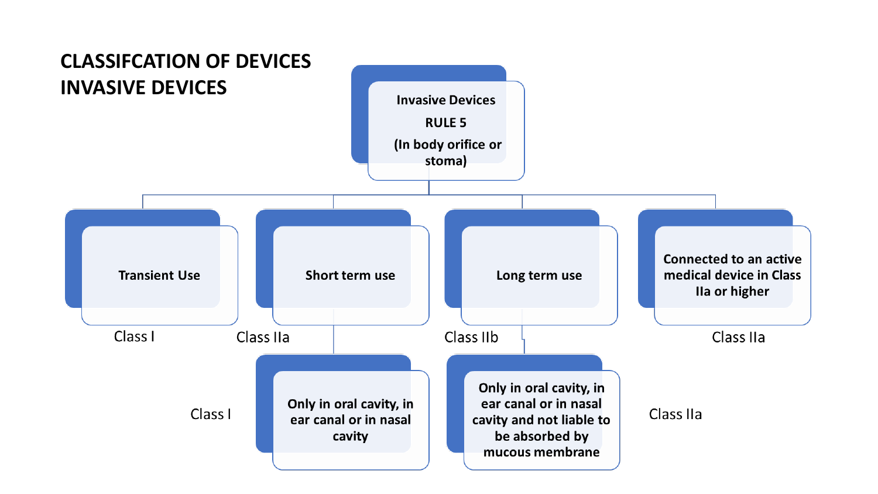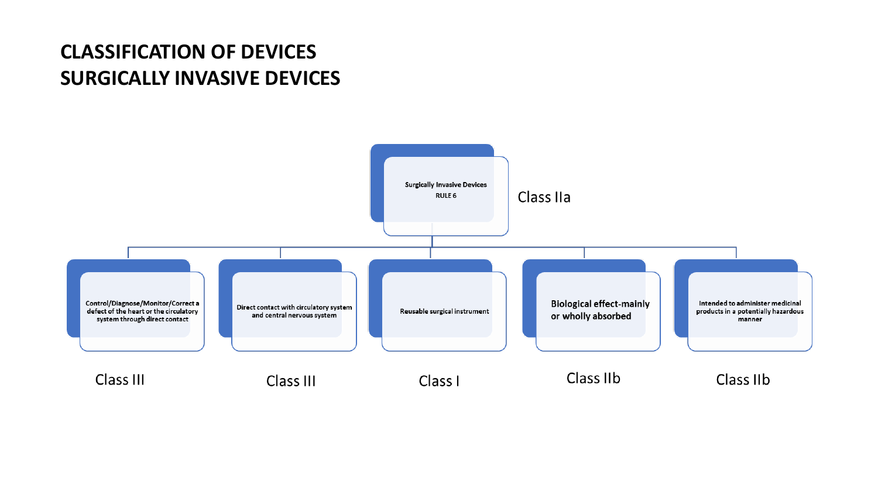# **CLASSIFICATION OF DEVICES SURGICALLY INVASIVE DEVICES**

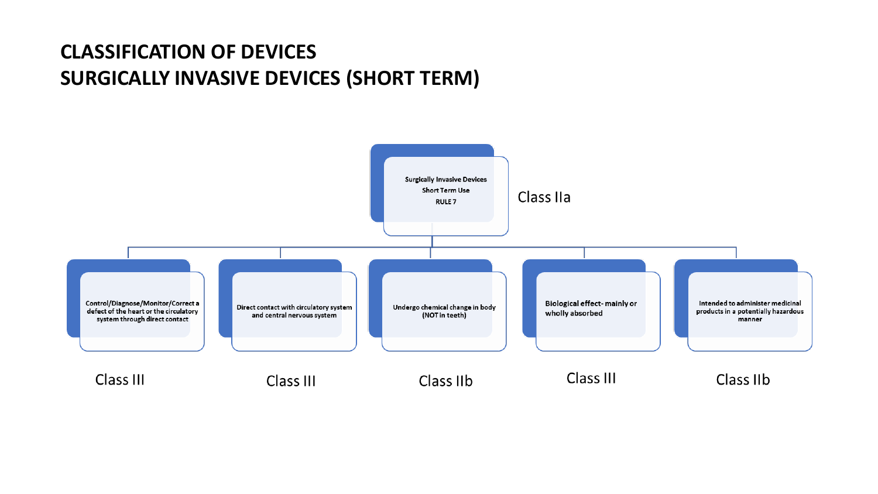# **CLASSIFICATION OF DEVICES SURGICALLY INVASIVE DEVICES (SHORT TERM)**

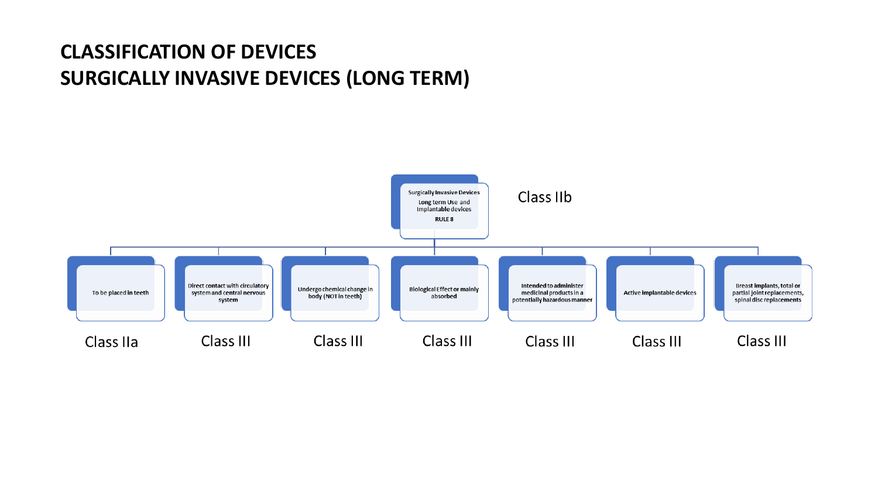# **CLASSIFICATION OF DEVICES SURGICALLY INVASIVE DEVICES (LONG TERM)**

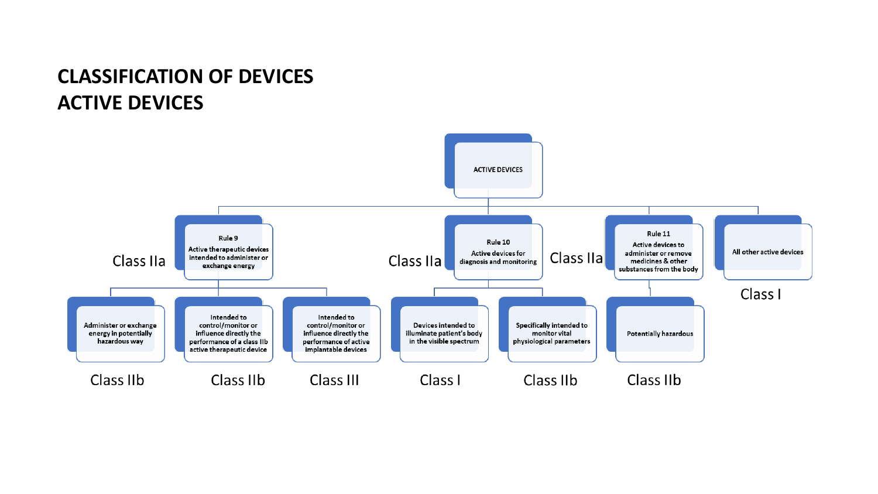# **CLASSIFICATION OF DEVICES ACTIVE DEVICES**

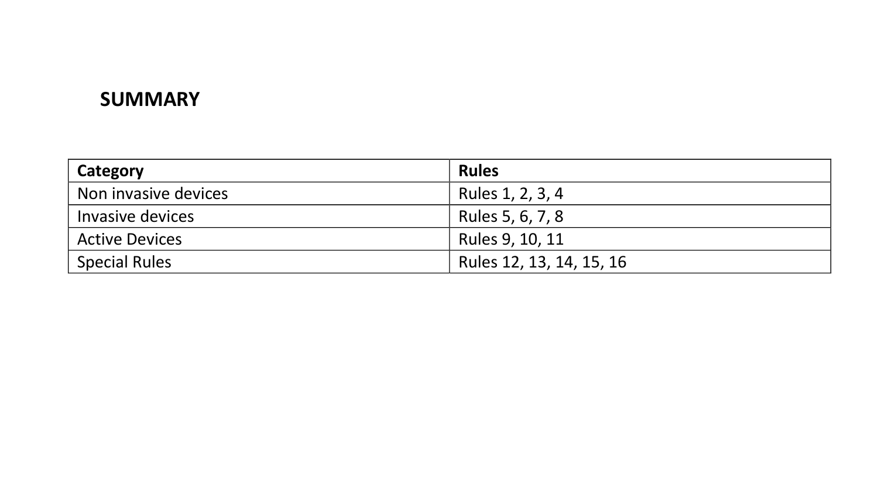## **SUMMARY**

| Category              | <b>Rules</b>             |
|-----------------------|--------------------------|
| Non invasive devices  | Rules 1, 2, 3, 4         |
| Invasive devices      | Rules 5, 6, 7, 8         |
| <b>Active Devices</b> | Rules 9, 10, 11          |
| <b>Special Rules</b>  | Rules 12, 13, 14, 15, 16 |